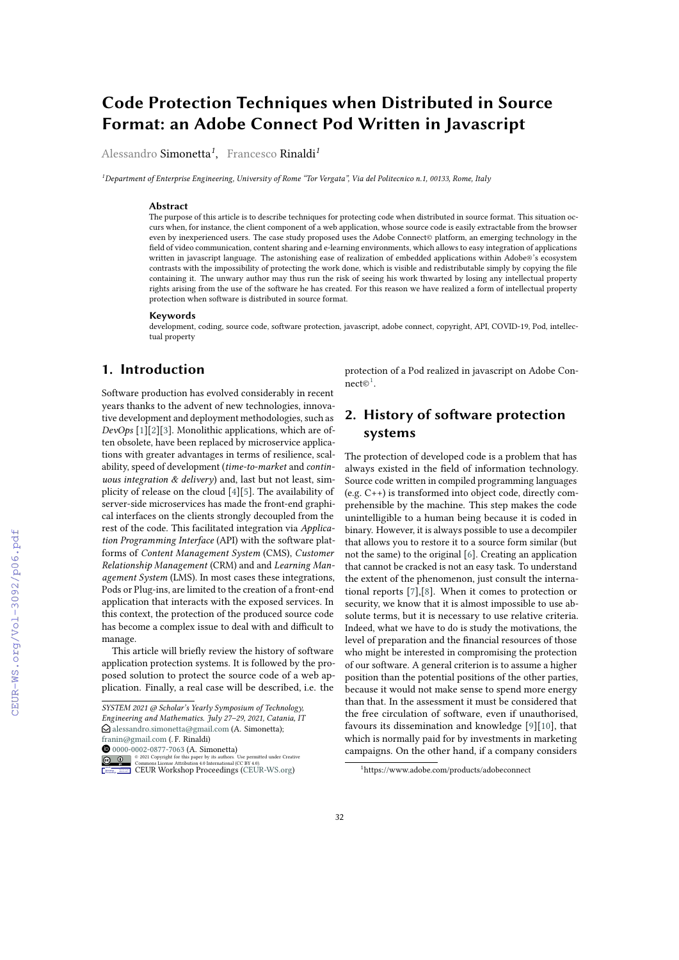# **Code Protection Techniques when Distributed in Source Format: an Adobe Connect Pod Written in Javascript**

Alessandro Simonetta*<sup>1</sup>* , Francesco Rinaldi*<sup>1</sup>*

*<sup>1</sup>Department of Enterprise Engineering, University of Rome "Tor Vergata", Via del Politecnico n.1, 00133, Rome, Italy*

#### **Abstract**

The purpose of this article is to describe techniques for protecting code when distributed in source format. This situation occurs when, for instance, the client component of a web application, whose source code is easily extractable from the browser even by inexperienced users. The case study proposed uses the Adobe Connect© platform, an emerging technology in the field of video communication, content sharing and e-learning environments, which allows to easy integration of applications written in javascript language. The astonishing ease of realization of embedded applications within Adobe®'s ecosystem contrasts with the impossibility of protecting the work done, which is visible and redistributable simply by copying the file containing it. The unwary author may thus run the risk of seeing his work thwarted by losing any intellectual property rights arising from the use of the software he has created. For this reason we have realized a form of intellectual property protection when software is distributed in source format.

#### **Keywords**

development, coding, source code, software protection, javascript, adobe connect, copyright, API, COVID-19, Pod, intellectual property

## **1. Introduction**

Software production has evolved considerably in recent years thanks to the advent of new technologies, innovative development and deployment methodologies, such as *DevOps* [\[1\]](#page--1-0)[\[2\]](#page--1-1)[\[3\]](#page--1-2). Monolithic applications, which are often obsolete, have been replaced by microservice applications with greater advantages in terms of resilience, scalability, speed of development (*time-to-market* and *continuous integration & delivery*) and, last but not least, simplicity of release on the cloud [\[4\]](#page--1-3)[\[5\]](#page--1-4). The availability of server-side microservices has made the front-end graphical interfaces on the clients strongly decoupled from the rest of the code. This facilitated integration via *Application Programming Interface* (API) with the software platforms of *Content Management System* (CMS), *Customer Relationship Management* (CRM) and and *Learning Management System* (LMS). In most cases these integrations, Pods or Plug-ins, are limited to the creation of a front-end application that interacts with the exposed services. In this context, the protection of the produced source code has become a complex issue to deal with and difficult to manage.

This article will briefly review the history of software application protection systems. It is followed by the proposed solution to protect the source code of a web application. Finally, a real case will be described, i.e. the

*SYSTEM 2021 @ Scholar's Yearly Symposium of Technology, Engineering and Mathematics. July 27–29, 2021, Catania, IT*  $\bigcirc$  [alessandro.simonetta@gmail.com](mailto:alessandro.simonetta@gmail.com) (A. Simonetta); [franin@gmail.com](mailto:franin@gmail.com) (. F. Rinaldi)

[0000-0002-0877-7063](https://orcid.org/0000-0002-0877-7063) (A. Simonetta)



protection of a Pod realized in javascript on Adobe Con- $nect \mathfrak{S}^1$  $nect \mathfrak{S}^1$ .

## **2. History of software protection systems**

The protection of developed code is a problem that has always existed in the field of information technology. Source code written in compiled programming languages (e.g. C++) is transformed into object code, directly comprehensible by the machine. This step makes the code unintelligible to a human being because it is coded in binary. However, it is always possible to use a decompiler that allows you to restore it to a source form similar (but not the same) to the original [\[6\]](#page--1-5). Creating an application that cannot be cracked is not an easy task. To understand the extent of the phenomenon, just consult the international reports [\[7\]](#page--1-6),[\[8\]](#page--1-7). When it comes to protection or security, we know that it is almost impossible to use absolute terms, but it is necessary to use relative criteria. Indeed, what we have to do is study the motivations, the level of preparation and the financial resources of those who might be interested in compromising the protection of our software. A general criterion is to assume a higher position than the potential positions of the other parties, because it would not make sense to spend more energy than that. In the assessment it must be considered that the free circulation of software, even if unauthorised, favours its dissemination and knowledge [\[9\]](#page--1-8)[\[10\]](#page--1-9), that which is normally paid for by investments in marketing campaigns. On the other hand, if a company considers

<span id="page-0-0"></span><sup>1</sup>https://www.adobe.com/products/adobeconnect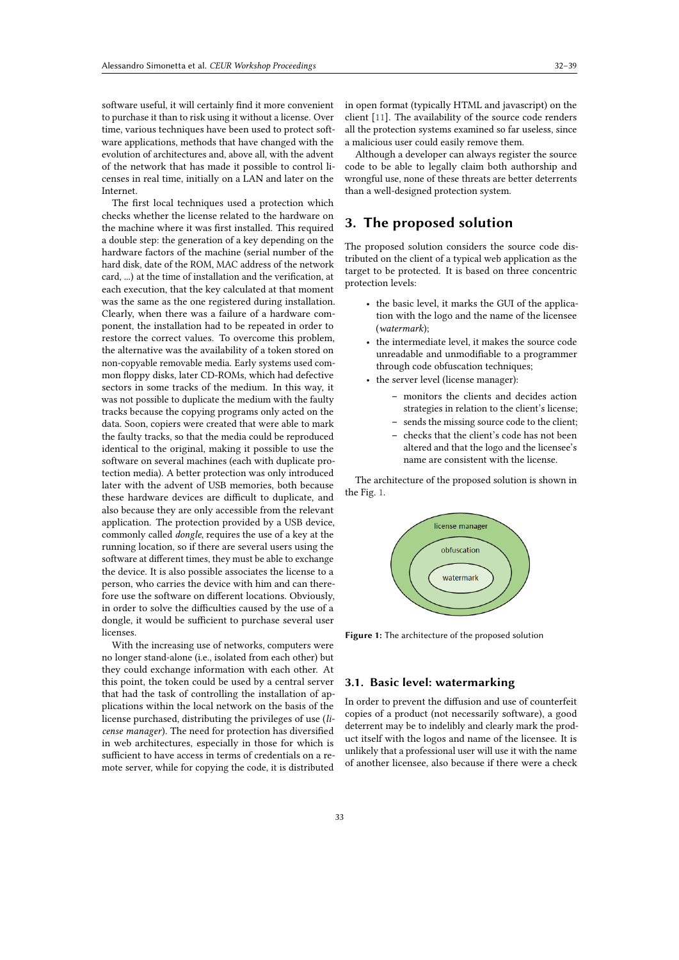software useful, it will certainly find it more convenient to purchase it than to risk using it without a license. Over time, various techniques have been used to protect software applications, methods that have changed with the evolution of architectures and, above all, with the advent of the network that has made it possible to control licenses in real time, initially on a LAN and later on the Internet.

The first local techniques used a protection which checks whether the license related to the hardware on the machine where it was first installed. This required a double step: the generation of a key depending on the hardware factors of the machine (serial number of the hard disk, date of the ROM, MAC address of the network card, ...) at the time of installation and the verification, at each execution, that the key calculated at that moment was the same as the one registered during installation. Clearly, when there was a failure of a hardware component, the installation had to be repeated in order to restore the correct values. To overcome this problem, the alternative was the availability of a token stored on non-copyable removable media. Early systems used common floppy disks, later CD-ROMs, which had defective sectors in some tracks of the medium. In this way, it was not possible to duplicate the medium with the faulty tracks because the copying programs only acted on the data. Soon, copiers were created that were able to mark the faulty tracks, so that the media could be reproduced identical to the original, making it possible to use the software on several machines (each with duplicate protection media). A better protection was only introduced later with the advent of USB memories, both because these hardware devices are difficult to duplicate, and also because they are only accessible from the relevant application. The protection provided by a USB device, commonly called *dongle*, requires the use of a key at the running location, so if there are several users using the software at different times, they must be able to exchange the device. It is also possible associates the license to a person, who carries the device with him and can therefore use the software on different locations. Obviously, in order to solve the difficulties caused by the use of a dongle, it would be sufficient to purchase several user licenses.

With the increasing use of networks, computers were no longer stand-alone (i.e., isolated from each other) but they could exchange information with each other. At this point, the token could be used by a central server that had the task of controlling the installation of applications within the local network on the basis of the license purchased, distributing the privileges of use (*license manager*). The need for protection has diversified in web architectures, especially in those for which is sufficient to have access in terms of credentials on a remote server, while for copying the code, it is distributed

in open format (typically HTML and javascript) on the client [\[11\]](#page-6-0). The availability of the source code renders all the protection systems examined so far useless, since a malicious user could easily remove them.

Although a developer can always register the source code to be able to legally claim both authorship and wrongful use, none of these threats are better deterrents than a well-designed protection system.

### **3. The proposed solution**

The proposed solution considers the source code distributed on the client of a typical web application as the target to be protected. It is based on three concentric protection levels:

- the basic level, it marks the GUI of the application with the logo and the name of the licensee (*watermark*);
- the intermediate level, it makes the source code unreadable and unmodifiable to a programmer through code obfuscation techniques;
- the server level (license manager):
	- **–** monitors the clients and decides action strategies in relation to the client's license;
	- **–** sends the missing source code to the client;
	- **–** checks that the client's code has not been altered and that the logo and the licensee's name are consistent with the license.

The architecture of the proposed solution is shown in the Fig. [1.](#page-1-0)

<span id="page-1-0"></span>

**Figure 1:** The architecture of the proposed solution

#### **3.1. Basic level: watermarking**

In order to prevent the diffusion and use of counterfeit copies of a product (not necessarily software), a good deterrent may be to indelibly and clearly mark the product itself with the logos and name of the licensee. It is unlikely that a professional user will use it with the name of another licensee, also because if there were a check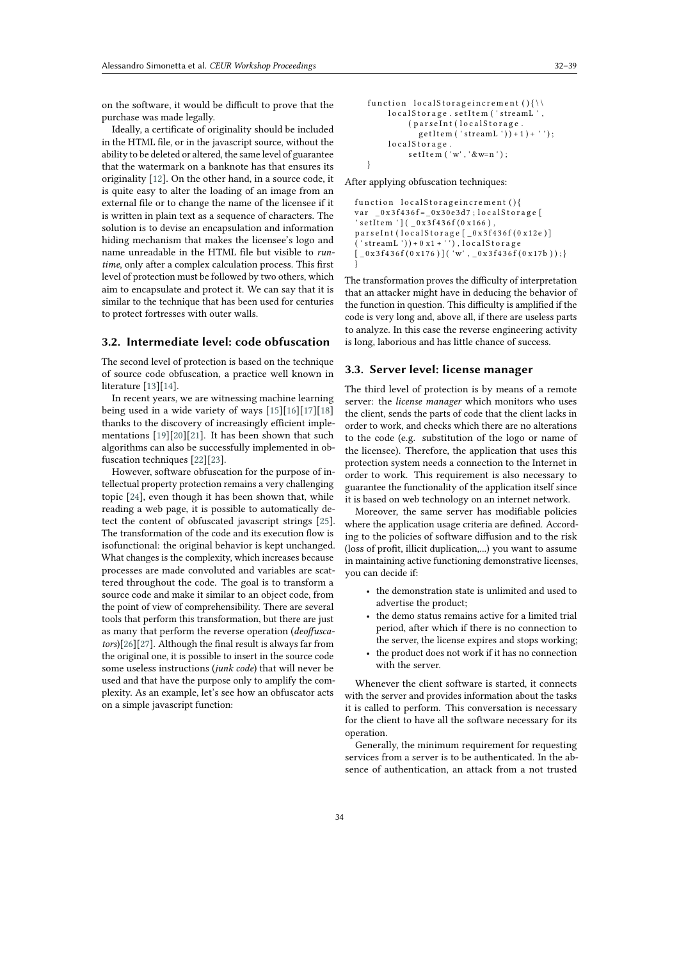on the software, it would be difficult to prove that the purchase was made legally.

Ideally, a certificate of originality should be included in the HTML file, or in the javascript source, without the ability to be deleted or altered, the same level of guarantee that the watermark on a banknote has that ensures its originality [\[12\]](#page-6-1). On the other hand, in a source code, it is quite easy to alter the loading of an image from an external file or to change the name of the licensee if it is written in plain text as a sequence of characters. The solution is to devise an encapsulation and information hiding mechanism that makes the licensee's logo and name unreadable in the HTML file but visible to *runtime*, only after a complex calculation process. This first level of protection must be followed by two others, which aim to encapsulate and protect it. We can say that it is similar to the technique that has been used for centuries to protect fortresses with outer walls.

#### **3.2. Intermediate level: code obfuscation**

The second level of protection is based on the technique of source code obfuscation, a practice well known in literature [\[13\]](#page-6-2)[\[14\]](#page-6-3).

In recent years, we are witnessing machine learning being used in a wide variety of ways [\[15\]](#page-6-4)[\[16\]](#page-6-5)[\[17\]](#page-6-6)[\[18\]](#page-6-7) thanks to the discovery of increasingly efficient implementations [\[19\]](#page-6-8)[\[20\]](#page-6-9)[\[21\]](#page-6-10). It has been shown that such algorithms can also be successfully implemented in obfuscation techniques [\[22\]](#page-6-11)[\[23\]](#page-6-12).

However, software obfuscation for the purpose of intellectual property protection remains a very challenging topic [\[24\]](#page-6-13), even though it has been shown that, while reading a web page, it is possible to automatically detect the content of obfuscated javascript strings [\[25\]](#page-7-0). The transformation of the code and its execution flow is isofunctional: the original behavior is kept unchanged. What changes is the complexity, which increases because processes are made convoluted and variables are scattered throughout the code. The goal is to transform a source code and make it similar to an object code, from the point of view of comprehensibility. There are several tools that perform this transformation, but there are just as many that perform the reverse operation (*deoffuscators*)[\[26\]](#page-7-1)[\[27\]](#page-7-2). Although the final result is always far from the original one, it is possible to insert in the source code some useless instructions (*junk code*) that will never be used and that have the purpose only to amplify the complexity. As an example, let's see how an obfuscator acts on a simple javascript function:

```
function localStorage increment ( ){\\
    localStorage.setItem ('streamL',
         ( par s e Int (local Storage.
            g e t I t e m ( ' stream L ' ) ) + 1 ) + '' );
    localStorage.
         setItem ('w', ' &w=n');
}
```
After applying obfuscation techniques:

```
function localStorageincrement (){
var 0 \times 3 f436 f = 0 \times 30e3d7; local Storage [
' s e t I t e m ' ] ( _0 x 3 f 4 3 6 f (0 x 1 6 6 ),
parseInt (localStorage [_0x3f436f (0x12e)]
('streamL'))+0x1+''), localStorage
[-0x3f436f(0x176)][('w', _0x3f436f(0x17b));}
```
The transformation proves the difficulty of interpretation that an attacker might have in deducing the behavior of the function in question. This difficulty is amplified if the code is very long and, above all, if there are useless parts to analyze. In this case the reverse engineering activity is long, laborious and has little chance of success.

#### **3.3. Server level: license manager**

The third level of protection is by means of a remote server: the *license manager* which monitors who uses the client, sends the parts of code that the client lacks in order to work, and checks which there are no alterations to the code (e.g. substitution of the logo or name of the licensee). Therefore, the application that uses this protection system needs a connection to the Internet in order to work. This requirement is also necessary to guarantee the functionality of the application itself since it is based on web technology on an internet network.

Moreover, the same server has modifiable policies where the application usage criteria are defined. According to the policies of software diffusion and to the risk (loss of profit, illicit duplication,...) you want to assume in maintaining active functioning demonstrative licenses, you can decide if:

- the demonstration state is unlimited and used to advertise the product;
- the demo status remains active for a limited trial period, after which if there is no connection to the server, the license expires and stops working;
- the product does not work if it has no connection with the server.

Whenever the client software is started, it connects with the server and provides information about the tasks it is called to perform. This conversation is necessary for the client to have all the software necessary for its operation.

Generally, the minimum requirement for requesting services from a server is to be authenticated. In the absence of authentication, an attack from a not trusted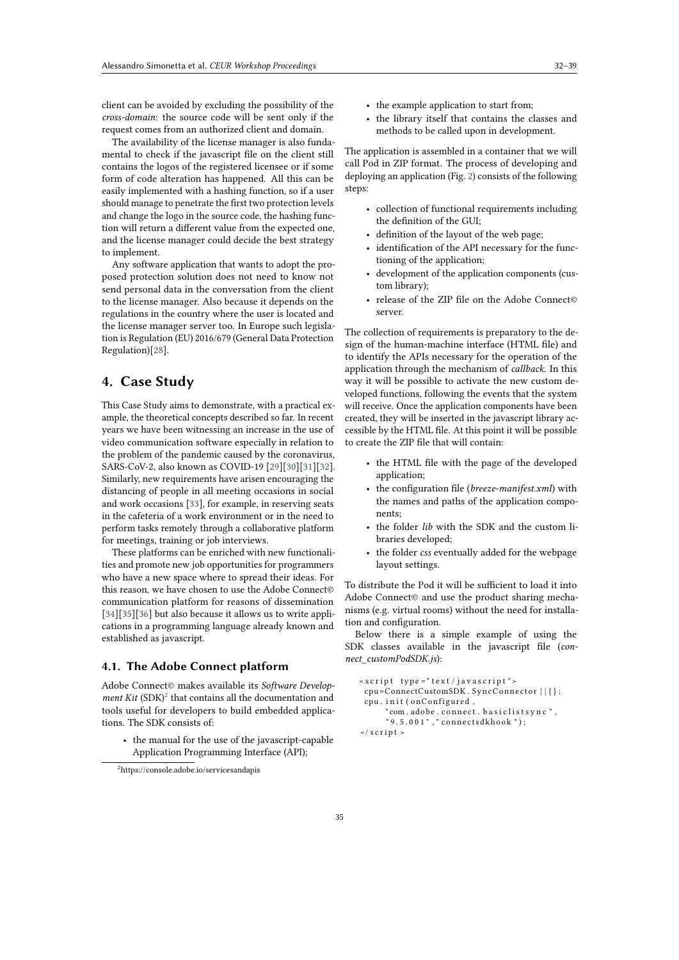client can be avoided by excluding the possibility of the *cross-domain*: the source code will be sent only if the request comes from an authorized client and domain.

The availability of the license manager is also fundamental to check if the javascript file on the client still contains the logos of the registered licensee or if some form of code alteration has happened. All this can be easily implemented with a hashing function, so if a user should manage to penetrate the first two protection levels and change the logo in the source code, the hashing function will return a different value from the expected one, and the license manager could decide the best strategy to implement.

Any software application that wants to adopt the proposed protection solution does not need to know not send personal data in the conversation from the client to the license manager. Also because it depends on the regulations in the country where the user is located and the license manager server too. In Europe such legislation is Regulation (EU) 2016/679 (General Data Protection Regulation)[\[28\]](#page-7-3).

### **4. Case Study**

This Case Study aims to demonstrate, with a practical example, the theoretical concepts described so far. In recent years we have been witnessing an increase in the use of video communication software especially in relation to the problem of the pandemic caused by the coronavirus, SARS-CoV-2, also known as COVID-19 [\[29\]](#page-7-4)[\[30\]](#page-7-5)[\[31\]](#page-7-6)[\[32\]](#page-7-7). Similarly, new requirements have arisen encouraging the distancing of people in all meeting occasions in social and work occasions [\[33\]](#page-7-8), for example, in reserving seats in the cafeteria of a work environment or in the need to perform tasks remotely through a collaborative platform for meetings, training or job interviews.

These platforms can be enriched with new functionalities and promote new job opportunities for programmers who have a new space where to spread their ideas. For this reason, we have chosen to use the Adobe Connect© communication platform for reasons of dissemination [\[34\]](#page-7-9)[\[35\]](#page-7-10)[\[36\]](#page-7-11) but also because it allows us to write applications in a programming language already known and established as javascript.

### **4.1. The Adobe Connect platform**

Adobe Connect© makes available its *Software Develop* $ment$   $Kit$   $(SDK)^2$  $(SDK)^2$  that contains all the documentation and tools useful for developers to build embedded applications. The SDK consists of:

• the manual for the use of the javascript-capable Application Programming Interface (API);

- the example application to start from;
- the library itself that contains the classes and methods to be called upon in development.

The application is assembled in a container that we will call Pod in ZIP format. The process of developing and deploying an application (Fig. [2\)](#page-4-0) consists of the following steps:

- collection of functional requirements including the definition of the GUI;
- definition of the layout of the web page;
- identification of the API necessary for the functioning of the application;
- development of the application components (custom library);
- release of the ZIP file on the Adobe Connect© server.

The collection of requirements is preparatory to the design of the human-machine interface (HTML file) and to identify the APIs necessary for the operation of the application through the mechanism of *callback*. In this way it will be possible to activate the new custom developed functions, following the events that the system will receive. Once the application components have been created, they will be inserted in the javascript library accessible by the HTML file. At this point it will be possible to create the ZIP file that will contain:

- the HTML file with the page of the developed application;
- the configuration file (*breeze-manifest.xml*) with the names and paths of the application components;
- the folder *lib* with the SDK and the custom libraries developed;
- the folder *css* eventually added for the webpage layout settings.

To distribute the Pod it will be sufficient to load it into Adobe Connect© and use the product sharing mechanisms (e.g. virtual rooms) without the need for installation and configuration.

Below there is a simple example of using the SDK classes available in the javascript file (*connect\_customPodSDK.js*):

```
\leq script type ="text/javascript">
 cpu=ConnectCustomSDK . SyncConnector | | { } ;
 cpu. init (onConfigured,
       " com . adobe . connect . basiclistsync ",
       " 9 . 5 . 0 0 1 " , " connectsdkhook " ) ;
\langle s c r i p t >
```
<span id="page-3-0"></span><sup>2</sup>https://console.adobe.io/servicesandapis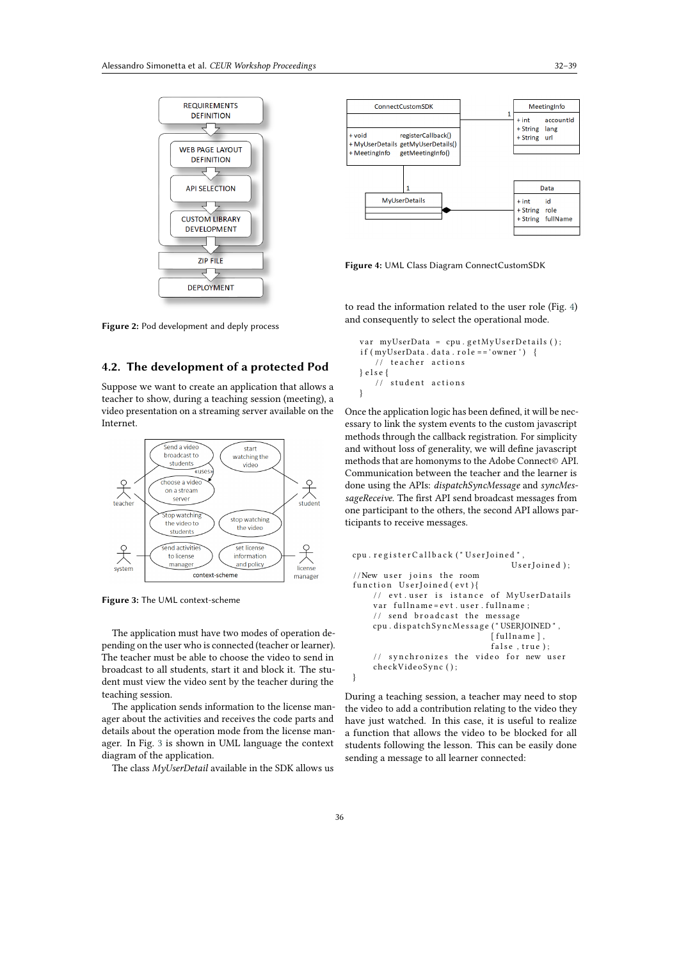

**Figure 2:** Pod development and deply process

### **4.2. The development of a protected Pod**

Suppose we want to create an application that allows a teacher to show, during a teaching session (meeting), a video presentation on a streaming server available on the Internet.



**Figure 3:** The UML context-scheme

The application must have two modes of operation depending on the user who is connected (teacher or learner). The teacher must be able to choose the video to send in broadcast to all students, start it and block it. The student must view the video sent by the teacher during the teaching session.

The application sends information to the license manager about the activities and receives the code parts and details about the operation mode from the license manager. In Fig. [3](#page-4-1) is shown in UML language the context diagram of the application.

The class *MyUserDetail* available in the SDK allows us



<span id="page-4-2"></span>**Figure 4:** UML Class Diagram ConnectCustomSDK

<span id="page-4-0"></span>to read the information related to the user role (Fig. [4\)](#page-4-2) and consequently to select the operational mode.

```
var myUserData = cpu.getMyUserDetails();
if (myUserData.data . . role == 'owner') {
   // teacher actions
} e l s e {
   // student actions
}
```
Once the application logic has been defined, it will be necessary to link the system events to the custom javascript methods through the callback registration. For simplicity and without loss of generality, we will define javascript methods that are homonyms to the Adobe Connect© API. Communication between the teacher and the learner is done using the APIs: *dispatchSyncMessage* and *syncMessageReceive*. The first API send broadcast messages from one participant to the others, the second API allows participants to receive messages.

```
cpu. r e g i s t e r C all b a c k (" U s e r J o i n e d ",
                                   UserJoined);
// New user joins the room
function Use rJoined (evt)// evt.user is istance of MyUserDatails
    var fullname=evt.user.fullname;
    // send broadcast the message
    cpu.dispatchSyncMessage("USERJOINED",
                              [ fullname],
                               false, true);
    // synchronizes the video for new user
    checkVideoSync ( ) ;
}
```
During a teaching session, a teacher may need to stop the video to add a contribution relating to the video they have just watched. In this case, it is useful to realize a function that allows the video to be blocked for all students following the lesson. This can be easily done sending a message to all learner connected: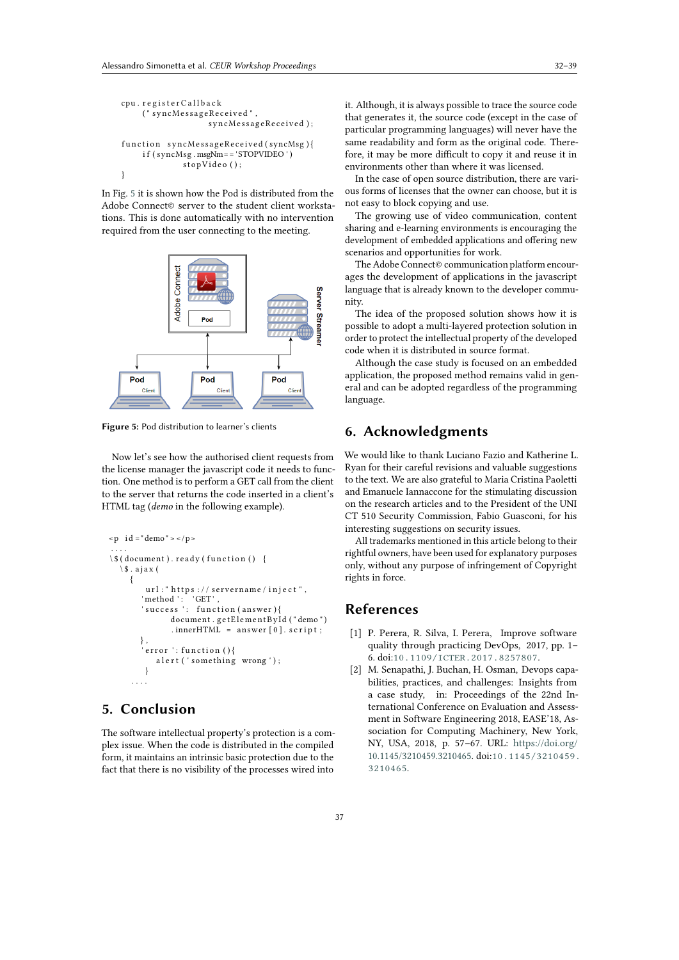```
cpu. r e g i s t e r C all b a c k
     ( " syncMessageReceived " ,
                     syncMessageReceived ) ;
function syncMessageReceived (syncMsg){
    i f ( syncMsg . msgNm== 'STOPVIDEO ' )
              stopVideo();
}
```
In Fig. [5](#page-5-0) it is shown how the Pod is distributed from the Adobe Connect© server to the student client workstations. This is done automatically with no intervention required from the user connecting to the meeting.



**Figure 5:** Pod distribution to learner's clients

Now let's see how the authorised client requests from the license manager the javascript code it needs to function. One method is to perform a GET call from the client to the server that returns the code inserted in a client's HTML tag (*demo* in the following example).

```
\leq p id = "demo" \geq \leq / p >. . . .
\setminus $ ( document ) . ready ( function ( ) {
  \setminus $ . a jax (
     {
         url : " https :// servername/inject ",
         ' method ' : 'GET',
         'success ': function(answer){
                document . getElementById ("demo")
                . innerHTML = answer[0]. script;} ,
         error' · function ()a l e r t ('something wrong');
         }
      . . . .
```
### **5. Conclusion**

The software intellectual property's protection is a complex issue. When the code is distributed in the compiled form, it maintains an intrinsic basic protection due to the fact that there is no visibility of the processes wired into

it. Although, it is always possible to trace the source code that generates it, the source code (except in the case of particular programming languages) will never have the same readability and form as the original code. Therefore, it may be more difficult to copy it and reuse it in environments other than where it was licensed.

In the case of open source distribution, there are various forms of licenses that the owner can choose, but it is not easy to block copying and use.

The growing use of video communication, content sharing and e-learning environments is encouraging the development of embedded applications and offering new scenarios and opportunities for work.

The Adobe Connect© communication platform encourages the development of applications in the javascript language that is already known to the developer community.

The idea of the proposed solution shows how it is possible to adopt a multi-layered protection solution in order to protect the intellectual property of the developed code when it is distributed in source format.

Although the case study is focused on an embedded application, the proposed method remains valid in general and can be adopted regardless of the programming language.

### <span id="page-5-0"></span>**6. Acknowledgments**

We would like to thank Luciano Fazio and Katherine L. Ryan for their careful revisions and valuable suggestions to the text. We are also grateful to Maria Cristina Paoletti and Emanuele Iannaccone for the stimulating discussion on the research articles and to the President of the UNI CT 510 Security Commission, Fabio Guasconi, for his interesting suggestions on security issues.

All trademarks mentioned in this article belong to their rightful owners, have been used for explanatory purposes only, without any purpose of infringement of Copyright rights in force.

### **References**

- [1] P. Perera, R. Silva, I. Perera, Improve software quality through practicing DevOps, 2017, pp. 1– 6. doi:[10.1109/ICTER.2017.8257807](http://dx.doi.org/10.1109/ICTER.2017.8257807).
- [2] M. Senapathi, J. Buchan, H. Osman, Devops capabilities, practices, and challenges: Insights from a case study, in: Proceedings of the 22nd International Conference on Evaluation and Assessment in Software Engineering 2018, EASE'18, Association for Computing Machinery, New York, NY, USA, 2018, p. 57–67. URL: [https://doi.org/](https://doi.org/10.1145/3210459.3210465) [10.1145/3210459.3210465.](https://doi.org/10.1145/3210459.3210465) doi:[10.1145/3210459.](http://dx.doi.org/10.1145/3210459.3210465) [3210465](http://dx.doi.org/10.1145/3210459.3210465).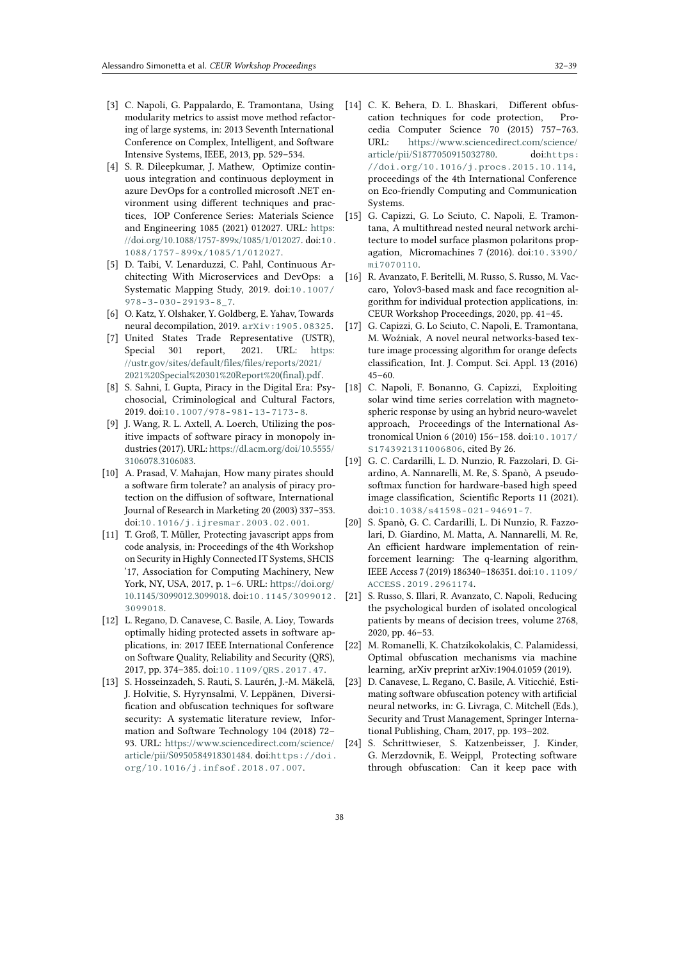- [3] C. Napoli, G. Pappalardo, E. Tramontana, Using modularity metrics to assist move method refactoring of large systems, in: 2013 Seventh International Conference on Complex, Intelligent, and Software Intensive Systems, IEEE, 2013, pp. 529–534.
- [4] S. R. Dileepkumar, J. Mathew, Optimize continuous integration and continuous deployment in azure DevOps for a controlled microsoft .NET environment using different techniques and practices, IOP Conference Series: Materials Science and Engineering 1085 (2021) 012027. URL: [https:](https://doi.org/10.1088/1757-899x/1085/1/012027) [//doi.org/10.1088/1757-899x/1085/1/012027.](https://doi.org/10.1088/1757-899x/1085/1/012027) doi:[10.](http://dx.doi.org/10.1088/1757-899x/1085/1/012027) [1088/1757-899x/1085/1/012027](http://dx.doi.org/10.1088/1757-899x/1085/1/012027).
- [5] D. Taibi, V. Lenarduzzi, C. Pahl, Continuous Architecting With Microservices and DevOps: a Systematic Mapping Study, 2019. doi:[10.1007/](http://dx.doi.org/10.1007/978-3-030-29193-8_7)  $978 - 3 - 030 - 29193 - 8 - 7$ .
- [6] O. Katz, Y. Olshaker, Y. Goldberg, E. Yahav, Towards neural decompilation, 2019. [arXiv:1905.08325](http://arxiv.org/abs/1905.08325).
- [7] United States Trade Representative (USTR), Special 301 report, 2021. URL: [https:](https://ustr.gov/sites/default/files/files/reports/2021/2021%20Special%20301%20Report%20(final).pdf) [//ustr.gov/sites/default/files/files/reports/2021/](https://ustr.gov/sites/default/files/files/reports/2021/2021%20Special%20301%20Report%20(final).pdf) [2021%20Special%20301%20Report%20\(final\).pdf.](https://ustr.gov/sites/default/files/files/reports/2021/2021%20Special%20301%20Report%20(final).pdf)
- [8] S. Sahni, I. Gupta, Piracy in the Digital Era: Psychosocial, Criminological and Cultural Factors, 2019. doi:[10.1007/978-981-13-7173-8](http://dx.doi.org/10.1007/978-981-13-7173-8).
- [9] J. Wang, R. L. Axtell, A. Loerch, Utilizing the positive impacts of software piracy in monopoly industries (2017). URL: [https://dl.acm.org/doi/10.5555/](https://dl.acm.org/doi/10.5555/3106078.3106083) [3106078.3106083.](https://dl.acm.org/doi/10.5555/3106078.3106083)
- [10] A. Prasad, V. Mahajan, How many pirates should a software firm tolerate? an analysis of piracy protection on the diffusion of software, International Journal of Research in Marketing 20 (2003) 337–353. doi:[10.1016/j.ijresmar.2003.02.001](http://dx.doi.org/10.1016/j.ijresmar.2003.02.001).
- <span id="page-6-0"></span>[11] T. Groß, T. Müller, Protecting javascript apps from code analysis, in: Proceedings of the 4th Workshop on Security in Highly Connected IT Systems, SHCIS '17, Association for Computing Machinery, New York, NY, USA, 2017, p. 1–6. URL: [https://doi.org/](https://doi.org/10.1145/3099012.3099018) [10.1145/3099012.3099018.](https://doi.org/10.1145/3099012.3099018) doi:[10.1145/3099012.](http://dx.doi.org/10.1145/3099012.3099018) [3099018](http://dx.doi.org/10.1145/3099012.3099018).
- <span id="page-6-1"></span>[12] L. Regano, D. Canavese, C. Basile, A. Lioy, Towards optimally hiding protected assets in software applications, in: 2017 IEEE International Conference on Software Quality, Reliability and Security (QRS), 2017, pp. 374–385. doi:[10.1109/QRS.2017.47](http://dx.doi.org/10.1109/QRS.2017.47).
- <span id="page-6-2"></span>[13] S. Hosseinzadeh, S. Rauti, S. Laurén, J.-M. Mäkelä, J. Holvitie, S. Hyrynsalmi, V. Leppänen, Diversification and obfuscation techniques for software security: A systematic literature review, Information and Software Technology 104 (2018) 72– 93. URL: [https://www.sciencedirect.com/science/](https://www.sciencedirect.com/science/article/pii/S0950584918301484) [article/pii/S0950584918301484.](https://www.sciencedirect.com/science/article/pii/S0950584918301484) doi:[https://doi.](http://dx.doi.org/https://doi.org/10.1016/j.infsof.2018.07.007) [org/10.1016/j.infsof.2018.07.007](http://dx.doi.org/https://doi.org/10.1016/j.infsof.2018.07.007).
- <span id="page-6-3"></span>[14] C. K. Behera, D. L. Bhaskari, Different obfuscation techniques for code protection, Procedia Computer Science 70 (2015) 757–763. URL: [https://www.sciencedirect.com/science/](https://www.sciencedirect.com/science/article/pii/S1877050915032780) [article/pii/S1877050915032780.](https://www.sciencedirect.com/science/article/pii/S1877050915032780) doi:[https:](http://dx.doi.org/https://doi.org/10.1016/j.procs.2015.10.114) [//doi.org/10.1016/j.procs.2015.10.114](http://dx.doi.org/https://doi.org/10.1016/j.procs.2015.10.114), proceedings of the 4th International Conference on Eco-friendly Computing and Communication Systems.
- <span id="page-6-4"></span>[15] G. Capizzi, G. Lo Sciuto, C. Napoli, E. Tramontana, A multithread nested neural network architecture to model surface plasmon polaritons propagation, Micromachines 7 (2016). doi:[10.3390/](http://dx.doi.org/10.3390/mi7070110) [mi7070110](http://dx.doi.org/10.3390/mi7070110).
- <span id="page-6-5"></span>[16] R. Avanzato, F. Beritelli, M. Russo, S. Russo, M. Vaccaro, Yolov3-based mask and face recognition algorithm for individual protection applications, in: CEUR Workshop Proceedings, 2020, pp. 41–45.
- <span id="page-6-6"></span>[17] G. Capizzi, G. Lo Sciuto, C. Napoli, E. Tramontana, M. Woźniak, A novel neural networks-based texture image processing algorithm for orange defects classification, Int. J. Comput. Sci. Appl. 13 (2016) 45–60.
- <span id="page-6-7"></span>[18] C. Napoli, F. Bonanno, G. Capizzi, Exploiting solar wind time series correlation with magnetospheric response by using an hybrid neuro-wavelet approach, Proceedings of the International Astronomical Union 6 (2010) 156–158. doi:[10.1017/](http://dx.doi.org/10.1017/S1743921311006806) [S1743921311006806](http://dx.doi.org/10.1017/S1743921311006806), cited By 26.
- <span id="page-6-8"></span>[19] G. C. Cardarilli, L. D. Nunzio, R. Fazzolari, D. Giardino, A. Nannarelli, M. Re, S. Spanò, A pseudosoftmax function for hardware-based high speed image classification, Scientific Reports 11 (2021). doi:[10.1038/s41598-021-94691-7](http://dx.doi.org/10.1038/s41598-021-94691-7).
- <span id="page-6-9"></span>[20] S. Spanò, G. C. Cardarilli, L. Di Nunzio, R. Fazzolari, D. Giardino, M. Matta, A. Nannarelli, M. Re, An efficient hardware implementation of reinforcement learning: The q-learning algorithm, IEEE Access 7 (2019) 186340–186351. doi:[10.1109/](http://dx.doi.org/10.1109/ACCESS.2019.2961174) [ACCESS.2019.2961174](http://dx.doi.org/10.1109/ACCESS.2019.2961174).
- <span id="page-6-10"></span>[21] S. Russo, S. Illari, R. Avanzato, C. Napoli, Reducing the psychological burden of isolated oncological patients by means of decision trees, volume 2768, 2020, pp. 46–53.
- <span id="page-6-11"></span>[22] M. Romanelli, K. Chatzikokolakis, C. Palamidessi, Optimal obfuscation mechanisms via machine learning, arXiv preprint arXiv:1904.01059 (2019).
- <span id="page-6-12"></span>[23] D. Canavese, L. Regano, C. Basile, A. Viticchié, Estimating software obfuscation potency with artificial neural networks, in: G. Livraga, C. Mitchell (Eds.), Security and Trust Management, Springer International Publishing, Cham, 2017, pp. 193–202.
- <span id="page-6-13"></span>[24] S. Schrittwieser, S. Katzenbeisser, J. Kinder, G. Merzdovnik, E. Weippl, Protecting software through obfuscation: Can it keep pace with